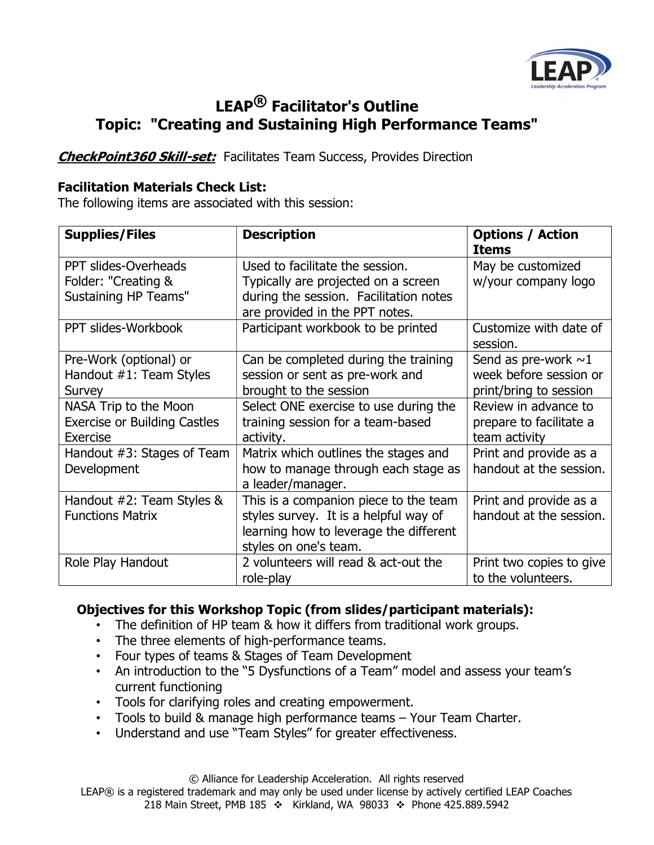

## LEAP® Facilitator's Outline Topic: "Creating and Sustaining High Performance Teams"

**CheckPoint360 Skill-set:** Facilitates Team Success, Provides Direction

## Facilitation Materials Check List:

The following items are associated with this session:

| <b>Supplies/Files</b>                                                      | <b>Description</b>                                                                                                                                 | <b>Options / Action</b><br><b>Items</b>                                       |
|----------------------------------------------------------------------------|----------------------------------------------------------------------------------------------------------------------------------------------------|-------------------------------------------------------------------------------|
| PPT slides-Overheads<br>Folder: "Creating &<br><b>Sustaining HP Teams"</b> | Used to facilitate the session.<br>Typically are projected on a screen<br>during the session. Facilitation notes<br>are provided in the PPT notes. | May be customized<br>w/your company logo                                      |
| PPT slides-Workbook                                                        | Participant workbook to be printed                                                                                                                 | Customize with date of<br>session.                                            |
| Pre-Work (optional) or<br>Handout #1: Team Styles<br>Survey                | Can be completed during the training<br>session or sent as pre-work and<br>brought to the session                                                  | Send as pre-work $\sim$ 1<br>week before session or<br>print/bring to session |
| NASA Trip to the Moon<br><b>Exercise or Building Castles</b><br>Exercise   | Select ONE exercise to use during the<br>training session for a team-based<br>activity.                                                            | Review in advance to<br>prepare to facilitate a<br>team activity              |
| Handout #3: Stages of Team<br>Development                                  | Matrix which outlines the stages and<br>how to manage through each stage as<br>a leader/manager.                                                   | Print and provide as a<br>handout at the session.                             |
| Handout $#2$ : Team Styles &<br><b>Functions Matrix</b>                    | This is a companion piece to the team<br>styles survey. It is a helpful way of<br>learning how to leverage the different<br>styles on one's team.  | Print and provide as a<br>handout at the session.                             |
| Role Play Handout                                                          | 2 volunteers will read & act-out the<br>role-play                                                                                                  | Print two copies to give<br>to the volunteers.                                |

## Objectives for this Workshop Topic (from slides/participant materials):

- The definition of HP team & how it differs from traditional work groups.
- The three elements of high-performance teams.
- Four types of teams & Stages of Team Development
- An introduction to the "5 Dysfunctions of a Team" model and assess your team's current functioning
- Tools for clarifying roles and creating empowerment.
- Tools to build & manage high performance teams Your Team Charter.
- Understand and use "Team Styles" for greater effectiveness.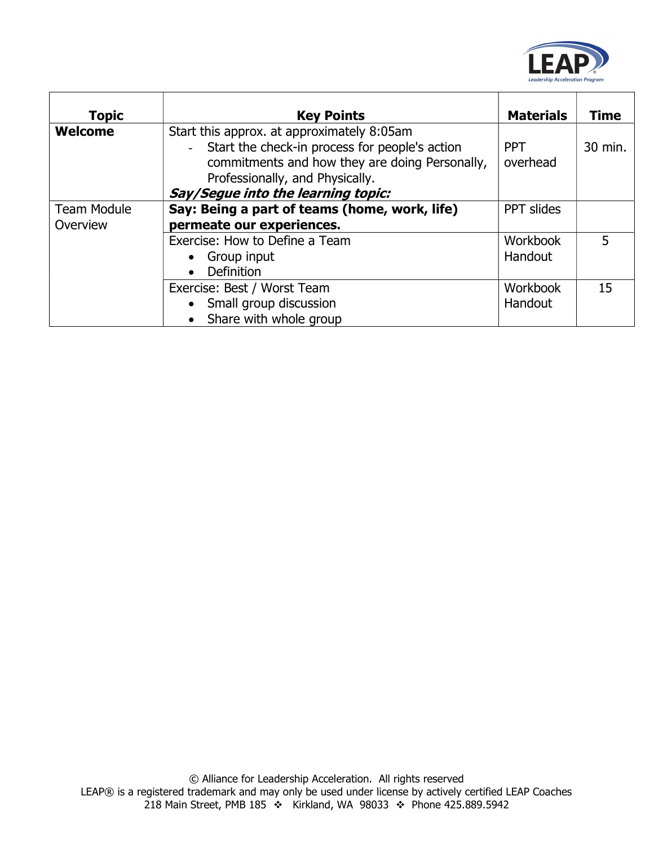

| <b>Topic</b>       | <b>Key Points</b>                                                                            | <b>Materials</b> | <b>Time</b> |
|--------------------|----------------------------------------------------------------------------------------------|------------------|-------------|
| <b>Welcome</b>     | Start this approx. at approximately 8:05am<br>Start the check-in process for people's action | <b>PPT</b>       | 30 min.     |
|                    | commitments and how they are doing Personally,<br>Professionally, and Physically.            | overhead         |             |
|                    | Say/Segue into the learning topic:                                                           |                  |             |
| <b>Team Module</b> | Say: Being a part of teams (home, work, life)                                                | PPT slides       |             |
| Overview           | permeate our experiences.                                                                    |                  |             |
|                    | Exercise: How to Define a Team                                                               | <b>Workbook</b>  |             |
|                    | Group input                                                                                  | Handout          |             |
|                    | <b>Definition</b><br>$\bullet$                                                               |                  |             |
|                    | Exercise: Best / Worst Team                                                                  | Workbook         | 15          |
|                    | Small group discussion                                                                       | Handout          |             |
|                    | Share with whole group                                                                       |                  |             |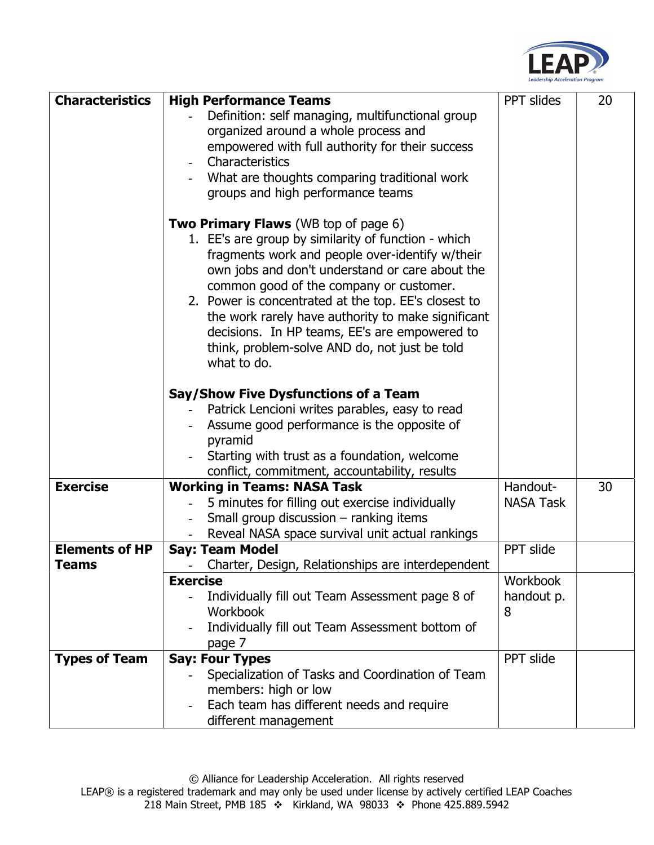

| <b>Characteristics</b> | <b>High Performance Teams</b>                                                             | PPT slides       | 20 |
|------------------------|-------------------------------------------------------------------------------------------|------------------|----|
|                        | Definition: self managing, multifunctional group                                          |                  |    |
|                        | organized around a whole process and                                                      |                  |    |
|                        | empowered with full authority for their success                                           |                  |    |
|                        | Characteristics                                                                           |                  |    |
|                        | What are thoughts comparing traditional work                                              |                  |    |
|                        | groups and high performance teams                                                         |                  |    |
|                        |                                                                                           |                  |    |
|                        | <b>Two Primary Flaws</b> (WB top of page 6)                                               |                  |    |
|                        | 1. EE's are group by similarity of function - which                                       |                  |    |
|                        | fragments work and people over-identify w/their                                           |                  |    |
|                        | own jobs and don't understand or care about the                                           |                  |    |
|                        | common good of the company or customer.                                                   |                  |    |
|                        | 2. Power is concentrated at the top. EE's closest to                                      |                  |    |
|                        | the work rarely have authority to make significant                                        |                  |    |
|                        | decisions. In HP teams, EE's are empowered to                                             |                  |    |
|                        | think, problem-solve AND do, not just be told                                             |                  |    |
|                        | what to do.                                                                               |                  |    |
|                        |                                                                                           |                  |    |
|                        | Say/Show Five Dysfunctions of a Team                                                      |                  |    |
|                        | Patrick Lencioni writes parables, easy to read                                            |                  |    |
|                        | Assume good performance is the opposite of                                                |                  |    |
|                        | pyramid                                                                                   |                  |    |
|                        | Starting with trust as a foundation, welcome                                              |                  |    |
| <b>Exercise</b>        | conflict, commitment, accountability, results                                             | Handout-         | 30 |
|                        | <b>Working in Teams: NASA Task</b>                                                        | <b>NASA Task</b> |    |
|                        | 5 minutes for filling out exercise individually<br>Small group discussion - ranking items |                  |    |
|                        | Reveal NASA space survival unit actual rankings                                           |                  |    |
| <b>Elements of HP</b>  | <b>Say: Team Model</b>                                                                    | PPT slide        |    |
| Teams                  | Charter, Design, Relationships are interdependent                                         |                  |    |
|                        | <b>Exercise</b>                                                                           | <b>Workbook</b>  |    |
|                        | Individually fill out Team Assessment page 8 of                                           | handout p.       |    |
|                        | Workbook                                                                                  | 8                |    |
|                        | Individually fill out Team Assessment bottom of                                           |                  |    |
|                        | page 7                                                                                    |                  |    |
| <b>Types of Team</b>   | <b>Say: Four Types</b>                                                                    | PPT slide        |    |
|                        | Specialization of Tasks and Coordination of Team                                          |                  |    |
|                        | members: high or low                                                                      |                  |    |
|                        | Each team has different needs and require                                                 |                  |    |
|                        | different management                                                                      |                  |    |
|                        |                                                                                           |                  |    |